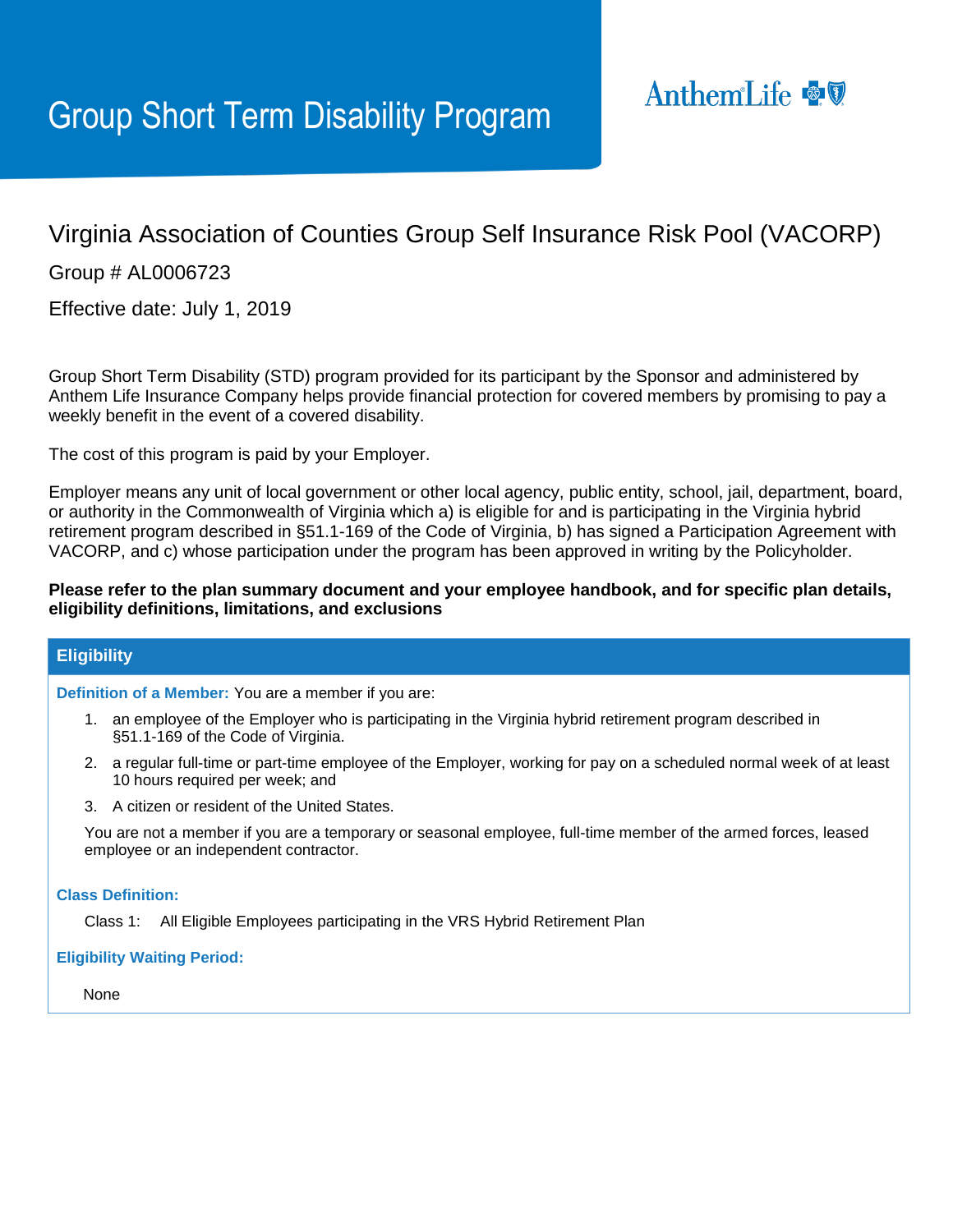# Virginia Association of Counties Group Self Insurance Risk Pool (VACORP)

Group # AL0006723

Effective date: July 1, 2019

Group Short Term Disability (STD) program provided for its participant by the Sponsor and administered by Anthem Life Insurance Company helps provide financial protection for covered members by promising to pay a weekly benefit in the event of a covered disability.

The cost of this program is paid by your Employer.

Employer means any unit of local government or other local agency, public entity, school, jail, department, board, or authority in the Commonwealth of Virginia which a) is eligible for and is participating in the Virginia hybrid retirement program described in §51.1-169 of the Code of Virginia, b) has signed a Participation Agreement with VACORP, and c) whose participation under the program has been approved in writing by the Policyholder.

# **Please refer to the plan summary document and your employee handbook, and for specific plan details, eligibility definitions, limitations, and exclusions**

# **Eligibility**

**Definition of a Member:** You are a member if you are:

- 1. an employee of the Employer who is participating in the Virginia hybrid retirement program described in §51.1-169 of the Code of Virginia.
- 2. a regular full-time or part-time employee of the Employer, working for pay on a scheduled normal week of at least 10 hours required per week; and
- 3. A citizen or resident of the United States.

You are not a member if you are a temporary or seasonal employee, full-time member of the armed forces, leased employee or an independent contractor.

## **Class Definition:**

Class 1: All Eligible Employees participating in the VRS Hybrid Retirement Plan

## **Eligibility Waiting Period:**

None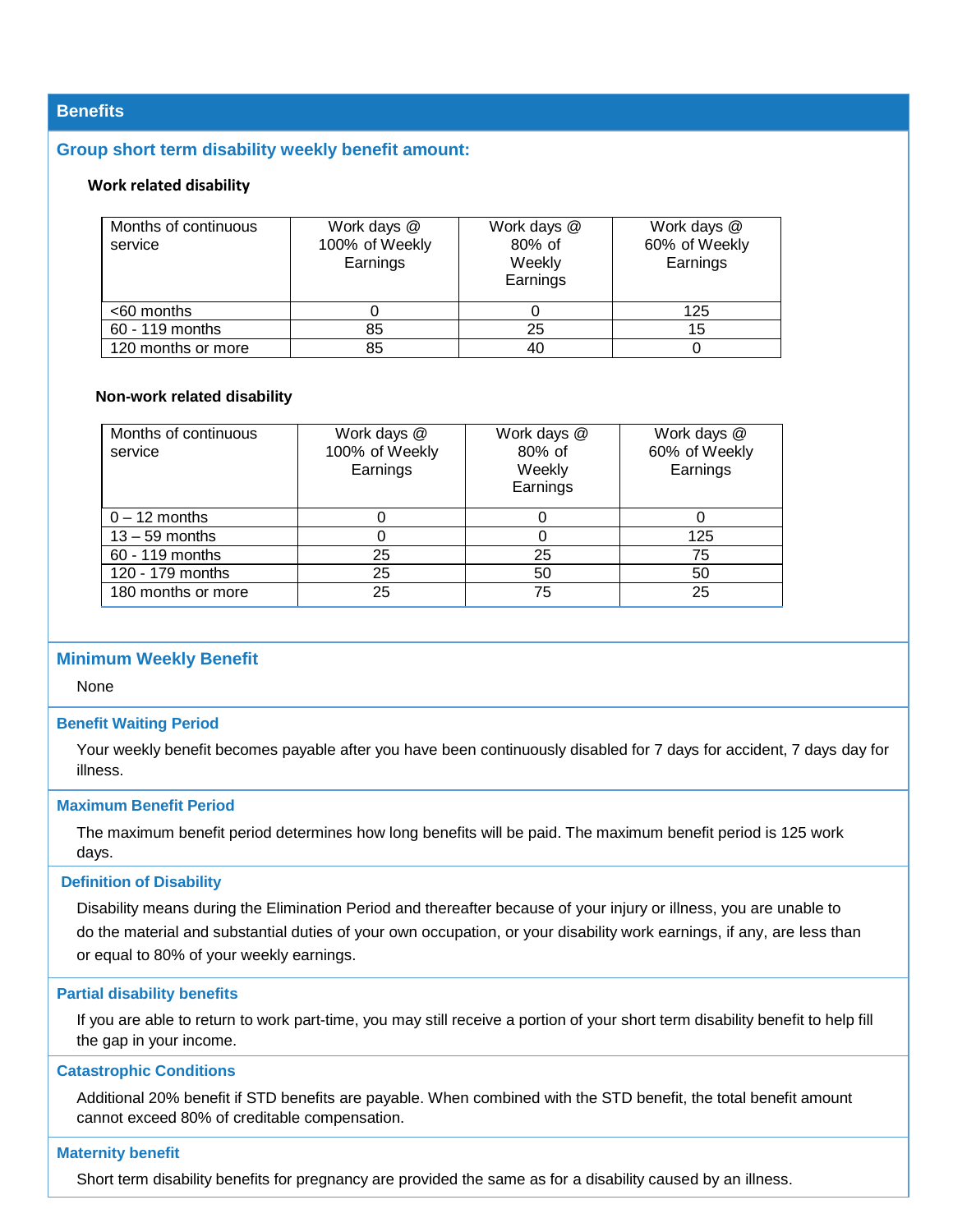# **Benefits**

## **Group short term disability weekly benefit amount:**

#### **Work related disability**

| Months of continuous<br>service | Work days @<br>100% of Weekly<br>Earnings | Work days @<br>80% of<br>Weekly<br>Earnings | Work days @<br>60% of Weekly<br>Earnings |
|---------------------------------|-------------------------------------------|---------------------------------------------|------------------------------------------|
| $<$ 60 months                   |                                           |                                             | 125                                      |
| 60 - 119 months                 | 85                                        | 25                                          | 15                                       |
| 120 months or more              | 85                                        | 40                                          |                                          |

## **Non-work related disability**

| Months of continuous<br>service | Work days @<br>100% of Weekly<br>Earnings | Work days @<br>80% of<br>Weekly<br>Earnings | Work days @<br>60% of Weekly<br>Earnings |
|---------------------------------|-------------------------------------------|---------------------------------------------|------------------------------------------|
| $0 - 12$ months                 |                                           |                                             |                                          |
| $13 - 59$ months                | $\left($                                  | O                                           | 125                                      |
| 60 - 119 months                 | 25                                        | 25                                          | 75                                       |
| 120 - 179 months                | 25                                        | 50                                          | 50                                       |
| 180 months or more              | 25                                        | 75                                          | 25                                       |

## **Minimum Weekly Benefit**

None

## **Benefit Waiting Period**

Your weekly benefit becomes payable after you have been continuously disabled for 7 days for accident, 7 days day for illness.

#### **Maximum Benefit Period**

The maximum benefit period determines how long benefits will be paid. The maximum benefit period is 125 work days.

## **Definition of Disability**

Disability means during the Elimination Period and thereafter because of your injury or illness, you are unable to do the material and substantial duties of your own occupation, or your disability work earnings, if any, are less than or equal to 80% of your weekly earnings.

#### **Partial disability benefits**

If you are able to return to work part-time, you may still receive a portion of your short term disability benefit to help fill the gap in your income.

#### **Catastrophic Conditions**

Additional 20% benefit if STD benefits are payable. When combined with the STD benefit, the total benefit amount cannot exceed 80% of creditable compensation.

#### **Maternity benefit**

Short term disability benefits for pregnancy are provided the same as for a disability caused by an illness.